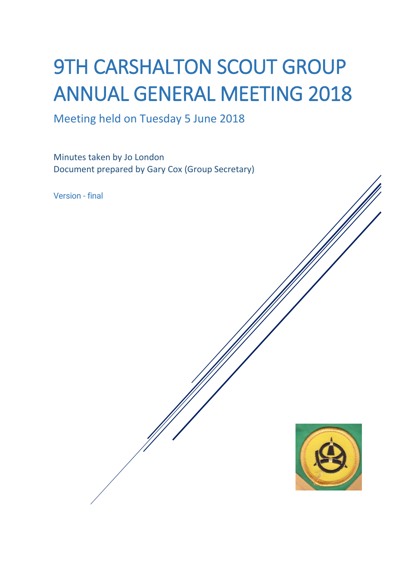# 9TH CARSHALTON SCOUT GROUP ANNUAL GENERAL MEETING 2018

Meeting held on Tuesday 5 June 2018

Minutes taken by Jo London Document prepared by Gary Cox (Group Secretary)

Version - final

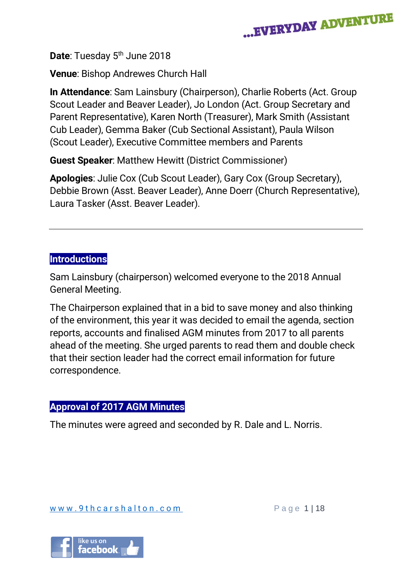

Date: Tuesday 5<sup>th</sup> June 2018

Venue: Bishop Andrewes Church Hall

In Attendance: Sam Lainsbury (Chairperson), Charlie Roberts (Act. Group Scout Leader and Beaver Leader), Jo London (Act. Group Secretary and Parent Representative), Karen North (Treasurer), Mark Smith (Assistant Cub Leader), Gemma Baker (Cub Sectional Assistant), Paula Wilson (Scout Leader), Executive Committee members and Parents

Guest Speaker: Matthew Hewitt (District Commissioner)

Apologies: Julie Cox (Cub Scout Leader), Gary Cox (Group Secretary), Debbie Brown (Asst. Beaver Leader), Anne Doerr (Church Representative), Laura Tasker (Asst. Beaver Leader).

# **Introductions**

Sam Lainsbury (chairperson) welcomed everyone to the 2018 Annual General Meeting.

The Chairperson explained that in a bid to save money and also thinking of the environment, this year it was decided to email the agenda, section reports, accounts and finalised AGM minutes from 2017 to all parents ahead of the meeting. She urged parents to read them and double check that their section leader had the correct email information for future correspondence.

# Approval of 2017 AGM Minutes

The minutes were agreed and seconded by R. Dale and L. Norris.

www.9thcarshalton.com Page 1|18

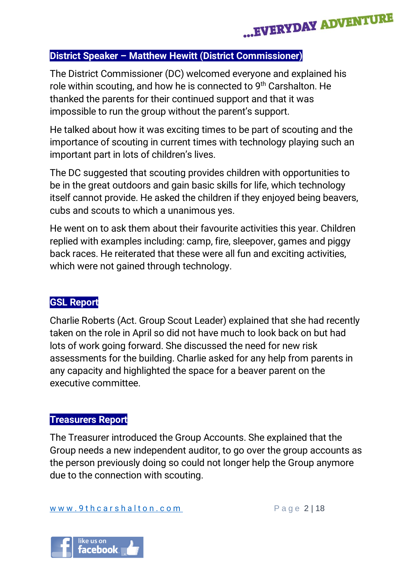

# District Speaker – Matthew Hewitt (District Commissioner)

The District Commissioner (DC) welcomed everyone and explained his role within scouting, and how he is connected to 9<sup>th</sup> Carshalton. He thanked the parents for their continued support and that it was impossible to run the group without the parent's support.

He talked about how it was exciting times to be part of scouting and the importance of scouting in current times with technology playing such an important part in lots of children's lives.

The DC suggested that scouting provides children with opportunities to be in the great outdoors and gain basic skills for life, which technology itself cannot provide. He asked the children if they enjoyed being beavers, cubs and scouts to which a unanimous yes.

He went on to ask them about their favourite activities this year. Children replied with examples including: camp, fire, sleepover, games and piggy back races. He reiterated that these were all fun and exciting activities, which were not gained through technology.

### GSL Report

Charlie Roberts (Act. Group Scout Leader) explained that she had recently taken on the role in April so did not have much to look back on but had lots of work going forward. She discussed the need for new risk assessments for the building. Charlie asked for any help from parents in any capacity and highlighted the space for a beaver parent on the executive committee.

#### Treasurers Report

The Treasurer introduced the Group Accounts. She explained that the Group needs a new independent auditor, to go over the group accounts as the person previously doing so could not longer help the Group anymore due to the connection with scouting.

www.9thcarshalton.com Page 2|18

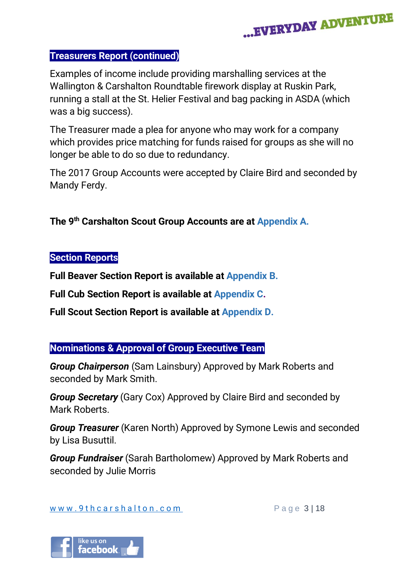

# Treasurers Report (continued)

Examples of income include providing marshalling services at the Wallington & Carshalton Roundtable firework display at Ruskin Park, running a stall at the St. Helier Festival and bag packing in ASDA (which was a big success).

The Treasurer made a plea for anyone who may work for a company which provides price matching for funds raised for groups as she will no longer be able to do so due to redundancy.

The 2017 Group Accounts were accepted by Claire Bird and seconded by Mandy Ferdy.

The 9<sup>th</sup> Carshalton Scout Group Accounts are at Appendix A.

#### Section Reports

Full Beaver Section Report is available at Appendix B.

Full Cub Section Report is available at Appendix C.

Full Scout Section Report is available at Appendix D.

# Nominations & Approval of Group Executive Team

*Group Chairperson* (Sam Lainsbury) Approved by Mark Roberts and seconded by Mark Smith.

*Group Secretary* (Gary Cox) Approved by Claire Bird and seconded by Mark Roberts.

*Group Treasurer* (Karen North) Approved by Symone Lewis and seconded by Lisa Busuttil.

*Group Fundraiser* (Sarah Bartholomew) Approved by Mark Roberts and seconded by Julie Morris

www.9thcarshalton.com Page 3 | 18

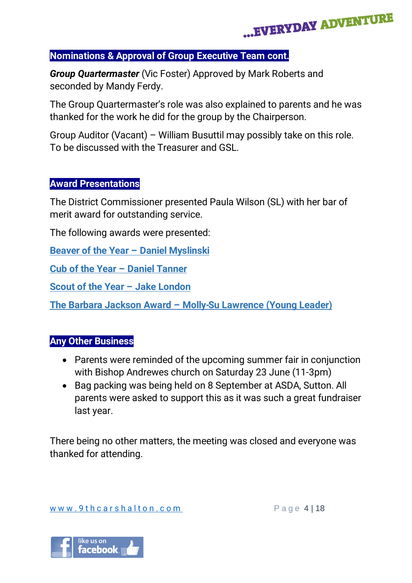

# Nominations & Approval of Group Executive Team cont.

*Group Quartermaster* (Vic Foster) Approved by Mark Roberts and seconded by Mandy Ferdy.

The Group Quartermaster's role was also explained to parents and he was thanked for the work he did for the group by the Chairperson.

Group Auditor (Vacant) – William Busuttil may possibly take on this role. To be discussed with the Treasurer and GSL.

### Award Presentations

The District Commissioner presented Paula Wilson (SL) with her bar of merit award for outstanding service.

The following awards were presented:

Beaver of the Year – Daniel Myslinski

Cub of the Year – Daniel Tanner

Scout of the Year – Jake London

The Barbara Jackson Award – Molly-Su Lawrence (Young Leader)

# Any Other Business

- Parents were reminded of the upcoming summer fair in conjunction with Bishop Andrewes church on Saturday 23 June (11-3pm)
- Bag packing was being held on 8 September at ASDA, Sutton. All parents were asked to support this as it was such a great fundraiser last year.

There being no other matters, the meeting was closed and everyone was thanked for attending.

www.9thcarshalton.com Page 4|18

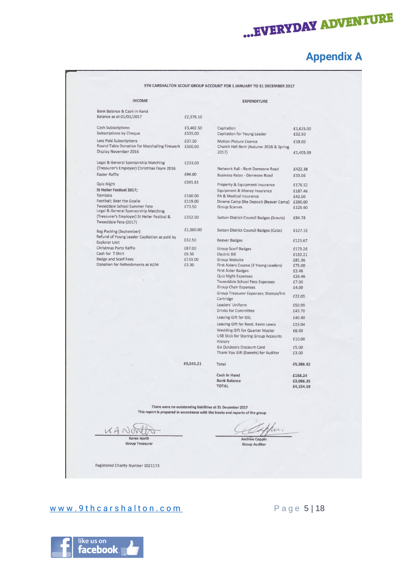# ... EVERYDAY ADVENTURE

# **Appendix A**

| <b>INCOME</b>                                                                  |           | <b>EXPENDITURE</b>                                                                                                                                  |           |
|--------------------------------------------------------------------------------|-----------|-----------------------------------------------------------------------------------------------------------------------------------------------------|-----------|
| Bank Balance & Cash in Hand                                                    |           |                                                                                                                                                     |           |
| Balance as at 01/01/2017                                                       | £2,378.10 |                                                                                                                                                     |           |
| Cash Subscriptions                                                             | £3,402.50 | Capitation                                                                                                                                          | £1,625.00 |
| Subscriptions by Cheque                                                        | £535.00   | Capitation for Young Leader                                                                                                                         | £32.50    |
| Late Paid Subscriptions                                                        | £37.50    | <b>Motion Picture Licence</b>                                                                                                                       | £19.00    |
| Round Table Donation for Marshalling Firework £500.00<br>Display November 2016 |           | Church Hall Rent (Autumn 2016 & Spring<br>2017)                                                                                                     | £1,405.99 |
| Legal & General Sponsorship Matching                                           | £233.00   |                                                                                                                                                     |           |
| (Treasurer's Employer) Christmas Fayre 2016                                    |           | Network Rail - Rent Demesne Road                                                                                                                    | £422.38   |
| Easter Raffle                                                                  | £96.00    | Business Rates - Demesne Road                                                                                                                       | £33.06    |
| Quiz Night                                                                     | £391.81   | Property & Equipment Insurance                                                                                                                      | £178.52   |
| <b>St Helier Festival 2017;</b>                                                |           | Equipment & Money Insurance                                                                                                                         | £187.46   |
| Tombola                                                                        | £160.00   | PA & Medical Insurance                                                                                                                              | £42.00    |
| Football; Beat the Goalie                                                      | £119.00   | Downe Camp Site Deposit (Beaver Camp) £200.00                                                                                                       |           |
| Tweeddale School Summer Fete<br>Legal & General Sponsorship Matching           | £73.50    | Group Scarves                                                                                                                                       | £126,60   |
| (Treasurer's Employer) St Helier Festival &                                    | £352.50   | <b>Sutton District Council Badges (Scouts)</b>                                                                                                      | £84.78    |
| Tweeddale Fete (2017)                                                          |           |                                                                                                                                                     |           |
| Bag Packing (September)<br>Refund of Young Leader Capitation as paid by        | £1,000.00 | <b>Sutton District Council Badges (Cubs)</b>                                                                                                        | £127.15   |
| <b>Explorer Unit</b>                                                           | £32.50    | <b>Beaver Badges</b>                                                                                                                                | £125.67   |
| Christmas Party Raffle                                                         | £87.00    | Group Scarf Badges                                                                                                                                  | £173.26   |
| Cash for T Shirt                                                               | £6.50     | Electric Bill                                                                                                                                       | £192.21   |
| Badge and Scarf Fees                                                           | £133.00   | Group Website                                                                                                                                       | £81,36    |
| Donation for Refreshments at AGM                                               | £3.30     | First Aiders Course (3 Young Leaders)                                                                                                               | £75.00    |
|                                                                                |           | <b>First Aider Badges</b>                                                                                                                           | £2.46     |
|                                                                                |           | Quiz Night Expenses                                                                                                                                 | £26.46    |
|                                                                                |           | Tweeddale School Fete Expenses                                                                                                                      | £7.00     |
|                                                                                |           | Group Chair Expenses                                                                                                                                | £4.99     |
|                                                                                |           | Group Treasurer Expenses; Stamps/Ink<br>Cartridge                                                                                                   | £22.05    |
|                                                                                |           | Leaders' Uniform                                                                                                                                    | £59.99    |
|                                                                                |           | <b>Drinks for Committee</b>                                                                                                                         | £43.70    |
|                                                                                |           | Leaving Gift for GSL                                                                                                                                | £40.49    |
|                                                                                |           | Leaving Gift for Revd. Kevin Lewis                                                                                                                  | £23.04    |
|                                                                                |           | Wedding Gift for Quarter Master                                                                                                                     |           |
|                                                                                |           | USB Stick for Storing Group Accounts                                                                                                                | £6.50     |
|                                                                                |           | History                                                                                                                                             | £10.00    |
|                                                                                |           | Go Outdoors Discount Card                                                                                                                           | £5.00     |
|                                                                                |           | Thank You Gift (Sweets) for Auditor                                                                                                                 | £3.00     |
|                                                                                | £9,541.21 | Total                                                                                                                                               | £5,386.62 |
|                                                                                |           | Cash in Hand                                                                                                                                        | £168,24   |
|                                                                                |           | <b>Bank Balance</b>                                                                                                                                 | £3,986.35 |
|                                                                                |           | <b>TOTAL</b>                                                                                                                                        | £4,154.59 |
|                                                                                |           | There were no outstanding liabilities at 31 December 2017<br>This report is prepared in accordance with the books and reports of the group<br>ippu. |           |
| V A                                                                            |           |                                                                                                                                                     |           |
| Karen North                                                                    |           | <b>Andrew Coppin</b>                                                                                                                                |           |
| <b>Group Treasurer</b>                                                         |           | <b>Group Auditor</b>                                                                                                                                |           |

# www.9thcarshalton.com

Page 5 | 18

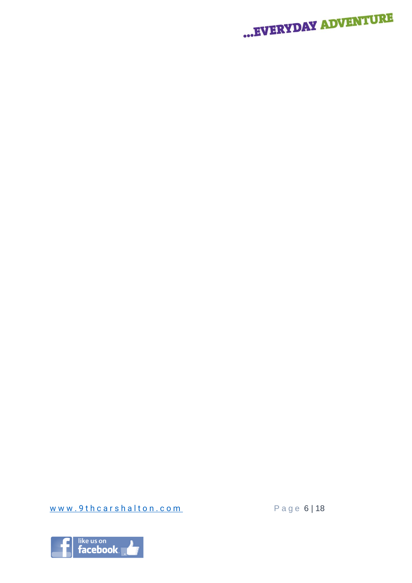

Page 6 | 18

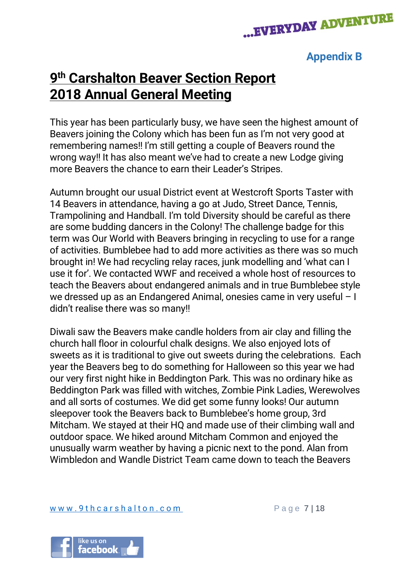

# Appendix B

# 9<sup>th</sup> Carshalton Beaver Section Report 2018 Annual General Meeting

This year has been particularly busy, we have seen the highest amount of Beavers joining the Colony which has been fun as I'm not very good at remembering names!! I'm still getting a couple of Beavers round the wrong way!! It has also meant we've had to create a new Lodge giving more Beavers the chance to earn their Leader's Stripes.

Autumn brought our usual District event at Westcroft Sports Taster with 14 Beavers in attendance, having a go at Judo, Street Dance, Tennis, Trampolining and Handball. I'm told Diversity should be careful as there are some budding dancers in the Colony! The challenge badge for this term was Our World with Beavers bringing in recycling to use for a range of activities. Bumblebee had to add more activities as there was so much brought in! We had recycling relay races, junk modelling and 'what can I use it for'. We contacted WWF and received a whole host of resources to teach the Beavers about endangered animals and in true Bumblebee style we dressed up as an Endangered Animal, onesies came in very useful – I didn't realise there was so many!!

Diwali saw the Beavers make candle holders from air clay and filling the church hall floor in colourful chalk designs. We also enjoyed lots of sweets as it is traditional to give out sweets during the celebrations. Each year the Beavers beg to do something for Halloween so this year we had our very first night hike in Beddington Park. This was no ordinary hike as Beddington Park was filled with witches, Zombie Pink Ladies, Werewolves and all sorts of costumes. We did get some funny looks! Our autumn sleepover took the Beavers back to Bumblebee's home group, 3rd Mitcham. We stayed at their HQ and made use of their climbing wall and outdoor space. We hiked around Mitcham Common and enjoyed the unusually warm weather by having a picnic next to the pond. Alan from Wimbledon and Wandle District Team came down to teach the Beavers

www.9thcarshalton.com Page 7|18



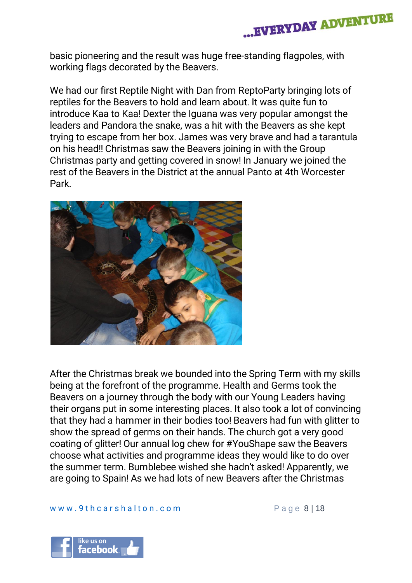

basic pioneering and the result was huge free-standing flagpoles, with working flags decorated by the Beavers.

We had our first Reptile Night with Dan from ReptoParty bringing lots of reptiles for the Beavers to hold and learn about. It was quite fun to introduce Kaa to Kaa! Dexter the Iguana was very popular amongst the leaders and Pandora the snake, was a hit with the Beavers as she kept trying to escape from her box. James was very brave and had a tarantula on his head!! Christmas saw the Beavers joining in with the Group Christmas party and getting covered in snow! In January we joined the rest of the Beavers in the District at the annual Panto at 4th Worcester Park.



After the Christmas break we bounded into the Spring Term with my skills being at the forefront of the programme. Health and Germs took the Beavers on a journey through the body with our Young Leaders having their organs put in some interesting places. It also took a lot of convincing that they had a hammer in their bodies too! Beavers had fun with glitter to show the spread of germs on their hands. The church got a very good coating of glitter! Our annual log chew for #YouShape saw the Beavers choose what activities and programme ideas they would like to do over the summer term. Bumblebee wished she hadn't asked! Apparently, we are going to Spain! As we had lots of new Beavers after the Christmas

www.9thcarshalton.com Page 8 | 18

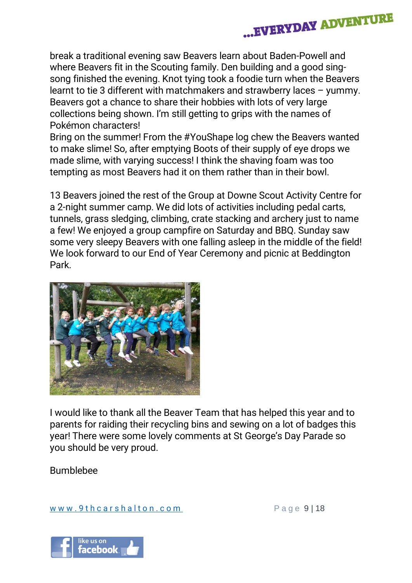

break a traditional evening saw Beavers learn about Baden-Powell and where Beavers fit in the Scouting family. Den building and a good singsong finished the evening. Knot tying took a foodie turn when the Beavers learnt to tie 3 different with matchmakers and strawberry laces – yummy. Beavers got a chance to share their hobbies with lots of very large collections being shown. I'm still getting to grips with the names of Pokémon characters!

Bring on the summer! From the #YouShape log chew the Beavers wanted to make slime! So, after emptying Boots of their supply of eye drops we made slime, with varying success! I think the shaving foam was too tempting as most Beavers had it on them rather than in their bowl.

13 Beavers joined the rest of the Group at Downe Scout Activity Centre for a 2-night summer camp. We did lots of activities including pedal carts, tunnels, grass sledging, climbing, crate stacking and archery just to name a few! We enjoyed a group campfire on Saturday and BBQ. Sunday saw some very sleepy Beavers with one falling asleep in the middle of the field! We look forward to our End of Year Ceremony and picnic at Beddington Park.



I would like to thank all the Beaver Team that has helped this year and to parents for raiding their recycling bins and sewing on a lot of badges this year! There were some lovely comments at St George's Day Parade so you should be very proud.

Bumblebee

www.9thcarshalton.com Page 9 | 18

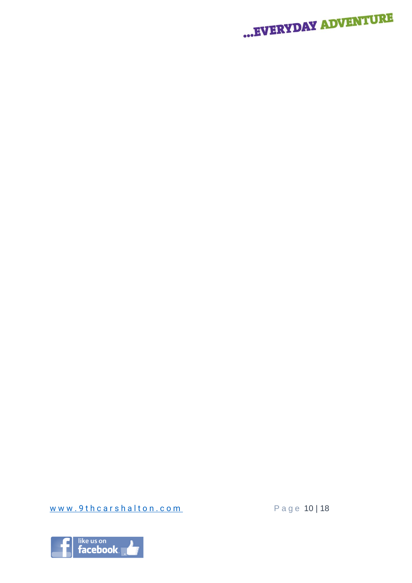

Page 10 | 18

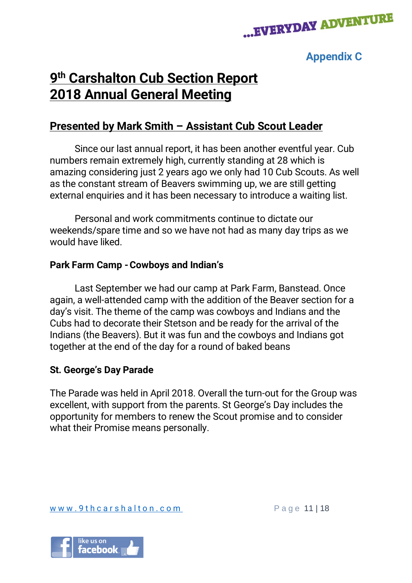

# Appendix C

# 9<sup>th</sup> Carshalton Cub Section Report 2018 Annual General Meeting

# Presented by Mark Smith – Assistant Cub Scout Leader

Since our last annual report, it has been another eventful year. Cub numbers remain extremely high, currently standing at 28 which is amazing considering just 2 years ago we only had 10 Cub Scouts. As well as the constant stream of Beavers swimming up, we are still getting external enquiries and it has been necessary to introduce a waiting list.

Personal and work commitments continue to dictate our weekends/spare time and so we have not had as many day trips as we would have liked.

# Park Farm Camp -Cowboys and Indian's

Last September we had our camp at Park Farm, Banstead. Once again, a well-attended camp with the addition of the Beaver section for a day's visit. The theme of the camp was cowboys and Indians and the Cubs had to decorate their Stetson and be ready for the arrival of the Indians (the Beavers). But it was fun and the cowboys and Indians got together at the end of the day for a round of baked beans

# St. George's Day Parade

The Parade was held in April 2018. Overall the turn-out for the Group was excellent, with support from the parents. St George's Day includes the opportunity for members to renew the Scout promise and to consider what their Promise means personally.

www.9thcarshalton.com Page 11 | 18

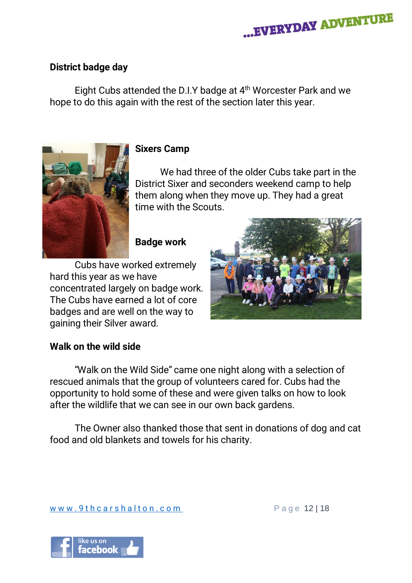

### District badge day

Eight Cubs attended the D.I.Y badge at 4th Worcester Park and we hope to do this again with the rest of the section later this year.



#### Sixers Camp

We had three of the older Cubs take part in the District Sixer and seconders weekend camp to help them along when they move up. They had a great time with the Scouts.

Badge work

Cubs have worked extremely hard this year as we have concentrated largely on badge work. The Cubs have earned a lot of core badges and are well on the way to gaining their Silver award.



# Walk on the wild side

"Walk on the Wild Side" came one night along with a selection of rescued animals that the group of volunteers cared for. Cubs had the opportunity to hold some of these and were given talks on how to look after the wildlife that we can see in our own back gardens.

The Owner also thanked those that sent in donations of dog and cat food and old blankets and towels for his charity.

www.9thcarshalton.com Page 12 | 18



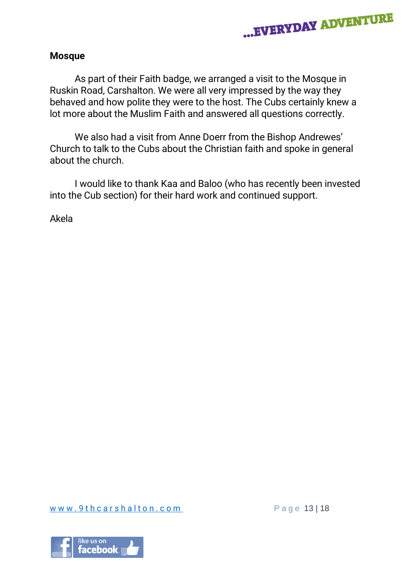

#### Mosque

As part of their Faith badge, we arranged a visit to the Mosque in Ruskin Road, Carshalton. We were all very impressed by the way they behaved and how polite they were to the host. The Cubs certainly knew a lot more about the Muslim Faith and answered all questions correctly.

We also had a visit from Anne Doerr from the Bishop Andrewes' Church to talk to the Cubs about the Christian faith and spoke in general about the church.

I would like to thank Kaa and Baloo (who has recently been invested into the Cub section) for their hard work and continued support.

Akela

www.9thcarshalton.com Page 13|18

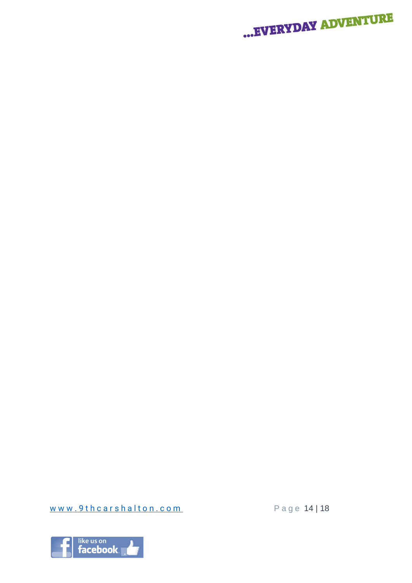

Page 14 | 18

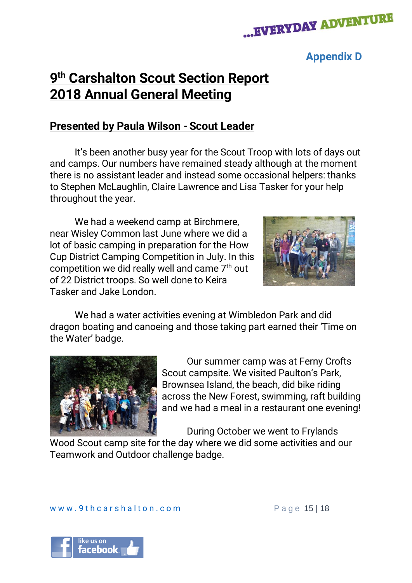

# Appendix D

# 9<sup>th</sup> Carshalton Scout Section Report 2018 Annual General Meeting

# Presented by Paula Wilson -Scout Leader

It's been another busy year for the Scout Troop with lots of days out and camps. Our numbers have remained steady although at the moment there is no assistant leader and instead some occasional helpers: thanks to Stephen McLaughlin, Claire Lawrence and Lisa Tasker for your help throughout the year.

We had a weekend camp at Birchmere, near Wisley Common last June where we did a lot of basic camping in preparation for the How Cup District Camping Competition in July. In this competition we did really well and came  $7<sup>th</sup>$  out of 22 District troops. So well done to Keira Tasker and Jake London.



We had a water activities evening at Wimbledon Park and did dragon boating and canoeing and those taking part earned their 'Time on the Water' badge.



Our summer camp was at Ferny Crofts Scout campsite. We visited Paulton's Park, Brownsea Island, the beach, did bike riding across the New Forest, swimming, raft building and we had a meal in a restaurant one evening!

During October we went to Frylands

Wood Scout camp site for the day where we did some activities and our Teamwork and Outdoor challenge badge.

www.9thcarshalton.com Page 15 | 18

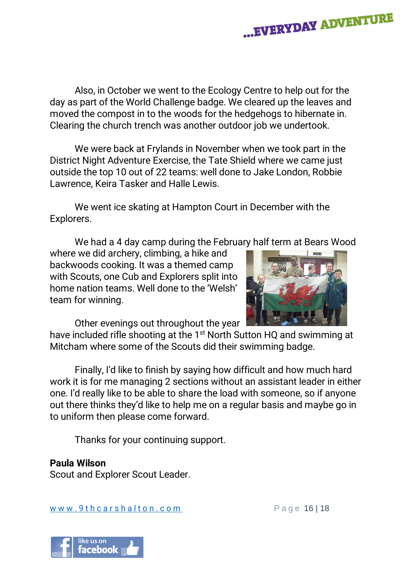

Also, in October we went to the Ecology Centre to help out for the day as part of the World Challenge badge. We cleared up the leaves and moved the compost in to the woods for the hedgehogs to hibernate in. Clearing the church trench was another outdoor job we undertook.

We were back at Frylands in November when we took part in the District Night Adventure Exercise, the Tate Shield where we came just outside the top 10 out of 22 teams: well done to Jake London, Robbie Lawrence, Keira Tasker and Halle Lewis.

We went ice skating at Hampton Court in December with the Explorers.

We had a 4 day camp during the February half term at Bears Wood

where we did archery, climbing, a hike and backwoods cooking. It was a themed camp with Scouts, one Cub and Explorers split into home nation teams. Well done to the 'Welsh' team for winning.



Other evenings out throughout the year

have included rifle shooting at the 1<sup>st</sup> North Sutton HQ and swimming at Mitcham where some of the Scouts did their swimming badge.

Finally, I'd like to finish by saying how difficult and how much hard work it is for me managing 2 sections without an assistant leader in either one. I'd really like to be able to share the load with someone, so if anyone out there thinks they'd like to help me on a regular basis and maybe go in to uniform then please come forward.

Thanks for your continuing support.

# Paula Wilson

Scout and Explorer Scout Leader.

www.9thcarshalton.com Page 16 | 18